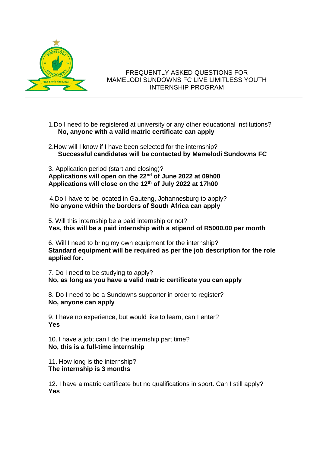

## FREQUENTLY ASKED QUESTIONS FOR MAMELODI SUNDOWNS FC LIVE LIMITLESS YOUTH INTERNSHIP PROGRAM

- 1.Do I need to be registered at university or any other educational institutions? **No, anyone with a valid matric certificate can apply**
- 2.How will I know if I have been selected for the internship? **Successful candidates will be contacted by Mamelodi Sundowns FC**

3. Application period (start and closing)? **Applications will open on the 22nd of June 2022 at 09h00 Applications will close on the 12th of July 2022 at 17h00**

 4.Do I have to be located in Gauteng, Johannesburg to apply? **No anyone within the borders of South Africa can apply**

5. Will this internship be a paid internship or not? **Yes, this will be a paid internship with a stipend of R5000.00 per month**

6. Will I need to bring my own equipment for the internship? **Standard equipment will be required as per the job description for the role applied for.**

7. Do I need to be studying to apply? **No, as long as you have a valid matric certificate you can apply**

8. Do I need to be a Sundowns supporter in order to register? **No, anyone can apply**

9. I have no experience, but would like to learn, can I enter? **Yes**

10. I have a job; can I do the internship part time? **No, this is a full-time internship**

11. How long is the internship? **The internship is 3 months**

12. I have a matric certificate but no qualifications in sport. Can I still apply? **Yes**